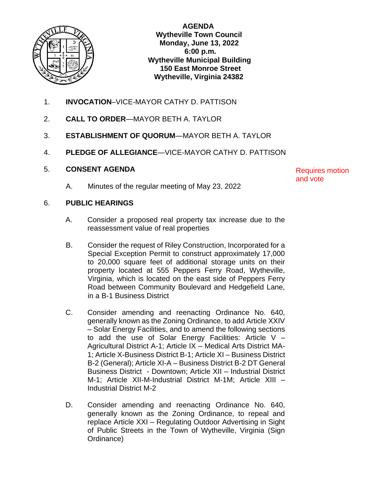

 **AGENDA Wytheville Town Council Monday, June 13, 2022 6:00 p.m. Wytheville Municipal Building 150 East Monroe Street Wytheville, Virginia 24382**

- 1. **INVOCATION**–VICE-MAYOR CATHY D. PATTISON
- 2. **CALL TO ORDER**—MAYOR BETH A. TAYLOR
- 3. **ESTABLISHMENT OF QUORUM**—MAYOR BETH A. TAYLOR
- 4. **PLEDGE OF ALLEGIANCE**—VICE-MAYOR CATHY D. PATTISON

### 5. **CONSENT AGENDA**

A. Minutes of the regular meeting of May 23, 2022

Requires motion and vote

#### 6. **PUBLIC HEARINGS**

- A. Consider a proposed real property tax increase due to the reassessment value of real properties
- B. Consider the request of Riley Construction, Incorporated for a Special Exception Permit to construct approximately 17,000 to 20,000 square feet of additional storage units on their property located at 555 Peppers Ferry Road, Wytheville, Virginia, which is located on the east side of Peppers Ferry Road between Community Boulevard and Hedgefield Lane, in a B-1 Business District
- C. Consider amending and reenacting Ordinance No. 640, generally known as the Zoning Ordinance, to add Article XXIV – Solar Energy Facilities, and to amend the following sections to add the use of Solar Energy Facilities: Article V  $-$ Agricultural District A-1; Article IX – Medical Arts District MA-1; Article X-Business District B-1; Article XI – Business District B-2 (General); Article XI-A – Business District B-2 DT General Business District - Downtown; Article XII – Industrial District M-1; Article XII-M-Industrial District M-1M; Article XIII – Industrial District M-2
- D. Consider amending and reenacting Ordinance No. 640, generally known as the Zoning Ordinance, to repeal and replace Article XXI – Regulating Outdoor Advertising in Sight of Public Streets in the Town of Wytheville, Virginia (Sign Ordinance)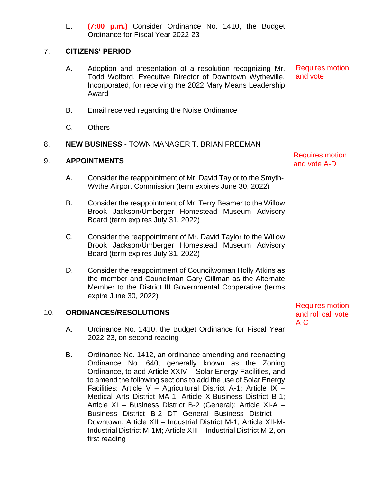E. **(7:00 p.m.)** Consider Ordinance No. 1410, the Budget Ordinance for Fiscal Year 2022-23

# 7. **CITIZENS' PERIOD**

- A. Adoption and presentation of a resolution recognizing Mr. Todd Wolford, Executive Director of Downtown Wytheville, Incorporated, for receiving the 2022 Mary Means Leadership Award Requires motion and vote
- B. Email received regarding the Noise Ordinance
- C. Others

# 8. **NEW BUSINESS** - TOWN MANAGER T. BRIAN FREEMAN

### 9. **APPOINTMENTS**

- A. Consider the reappointment of Mr. David Taylor to the Smyth-Wythe Airport Commission (term expires June 30, 2022)
- B. Consider the reappointment of Mr. Terry Beamer to the Willow Brook Jackson/Umberger Homestead Museum Advisory Board (term expires July 31, 2022)
- C. Consider the reappointment of Mr. David Taylor to the Willow Brook Jackson/Umberger Homestead Museum Advisory Board (term expires July 31, 2022)
- D. Consider the reappointment of Councilwoman Holly Atkins as the member and Councilman Gary Gillman as the Alternate Member to the District III Governmental Cooperative (terms expire June 30, 2022)

### 10. **ORDINANCES/RESOLUTIONS**

- A. Ordinance No. 1410, the Budget Ordinance for Fiscal Year 2022-23, on second reading
- B. Ordinance No. 1412, an ordinance amending and reenacting Ordinance No. 640, generally known as the Zoning Ordinance, to add Article XXIV – Solar Energy Facilities, and to amend the following sections to add the use of Solar Energy Facilities: Article V – Agricultural District A-1; Article IX – Medical Arts District MA-1; Article X-Business District B-1; Article XI – Business District B-2 (General); Article XI-A – Business District B-2 DT General Business District Downtown; Article XII – Industrial District M-1; Article XII-M-Industrial District M-1M; Article XIII – Industrial District M-2, on first reading

Requires motion

and roll call vote

A-C

Requires motion and vote A-D